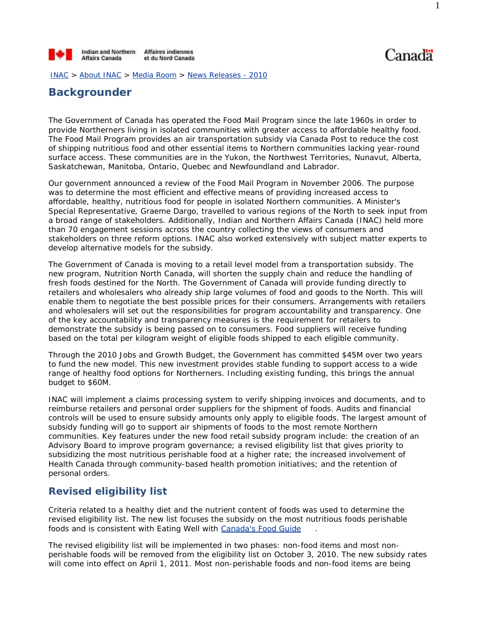

Canadä

INAC > About INAC > Media Room > News Releases - 2010

# **Backgrounder**

The Government of Canada has operated the Food Mail Program since the late 1960s in order to provide Northerners living in isolated communities with greater access to affordable healthy food. The Food Mail Program provides an air transportation subsidy via Canada Post to reduce the cost of shipping nutritious food and other essential items to Northern communities lacking year-round surface access. These communities are in the Yukon, the Northwest Territories, Nunavut, Alberta, Saskatchewan, Manitoba, Ontario, Quebec and Newfoundland and Labrador.

Our government announced a review of the Food Mail Program in November 2006. The purpose was to determine the most efficient and effective means of providing increased access to affordable, healthy, nutritious food for people in isolated Northern communities. A Minister's Special Representative, Graeme Dargo, travelled to various regions of the North to seek input from a broad range of stakeholders. Additionally, Indian and Northern Affairs Canada (INAC) held more than 70 engagement sessions across the country collecting the views of consumers and stakeholders on three reform options. INAC also worked extensively with subject matter experts to develop alternative models for the subsidy.

The Government of Canada is moving to a retail level model from a transportation subsidy. The new program, *Nutrition North Canada*, will shorten the supply chain and reduce the handling of fresh foods destined for the North. The Government of Canada will provide funding directly to retailers and wholesalers who already ship large volumes of food and goods to the North. This will enable them to negotiate the best possible prices for their consumers. Arrangements with retailers and wholesalers will set out the responsibilities for program accountability and transparency. One of the key accountability and transparency measures is the requirement for retailers to demonstrate the subsidy is being passed on to consumers. Food suppliers will receive funding based on the total per kilogram weight of eligible foods shipped to each eligible community.

Through the 2010 Jobs and Growth Budget, the Government has committed \$45M over two years to fund the new model. This new investment provides stable funding to support access to a wide range of healthy food options for Northerners. Including existing funding, this brings the annual budget to \$60M.

INAC will implement a claims processing system to verify shipping invoices and documents, and to reimburse retailers and personal order suppliers for the shipment of foods. Audits and financial controls will be used to ensure subsidy amounts only apply to eligible foods. The largest amount of subsidy funding will go to support air shipments of foods to the most remote Northern communities. Key features under the new food retail subsidy program include: the creation of an Advisory Board to improve program governance; a revised eligibility list that gives priority to subsidizing the most nutritious perishable food at a higher rate; the increased involvement of Health Canada through community-based health promotion initiatives; and the retention of personal orders.

## **Revised eligibility list**

Criteria related to a healthy diet and the nutrient content of foods was used to determine the revised eligibility list. The new list focuses the subsidy on the most nutritious foods perishable foods and is consistent with *Eating Well with Canada's Food Guide* .

The revised eligibility list will be implemented in two phases: non-food items and most nonperishable foods will be removed from the eligibility list on October 3, 2010. The new subsidy rates will come into effect on April 1, 2011. Most non-perishable foods and non-food items are being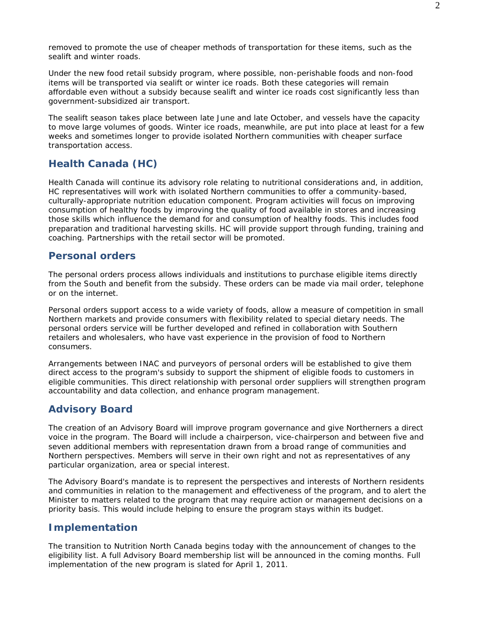removed to promote the use of cheaper methods of transportation for these items, such as the sealift and winter roads.

Under the new food retail subsidy program, where possible, non-perishable foods and non-food items will be transported via sealift or winter ice roads. Both these categories will remain affordable even without a subsidy because sealift and winter ice roads cost significantly less than government-subsidized air transport.

The sealift season takes place between late June and late October, and vessels have the capacity to move large volumes of goods. Winter ice roads, meanwhile, are put into place at least for a few weeks and sometimes longer to provide isolated Northern communities with cheaper surface transportation access.

## **Health Canada (HC)**

Health Canada will continue its advisory role relating to nutritional considerations and, in addition, HC representatives will work with isolated Northern communities to offer a community-based, culturally-appropriate nutrition education component. Program activities will focus on improving consumption of healthy foods by improving the quality of food available in stores and increasing those skills which influence the demand for and consumption of healthy foods. This includes food preparation and traditional harvesting skills. HC will provide support through funding, training and coaching. Partnerships with the retail sector will be promoted.

### **Personal orders**

The personal orders process allows individuals and institutions to purchase eligible items directly from the South and benefit from the subsidy. These orders can be made via mail order, telephone or on the internet.

Personal orders support access to a wide variety of foods, allow a measure of competition in small Northern markets and provide consumers with flexibility related to special dietary needs. The personal orders service will be further developed and refined in collaboration with Southern retailers and wholesalers, who have vast experience in the provision of food to Northern consumers.

Arrangements between INAC and purveyors of personal orders will be established to give them direct access to the program's subsidy to support the shipment of eligible foods to customers in eligible communities. This direct relationship with personal order suppliers will strengthen program accountability and data collection, and enhance program management.

## **Advisory Board**

The creation of an Advisory Board will improve program governance and give Northerners a direct voice in the program. The Board will include a chairperson, vice-chairperson and between five and seven additional members with representation drawn from a broad range of communities and Northern perspectives. Members will serve in their own right and not as representatives of any particular organization, area or special interest.

The Advisory Board's mandate is to represent the perspectives and interests of Northern residents and communities in relation to the management and effectiveness of the program, and to alert the Minister to matters related to the program that may require action or management decisions on a priority basis. This would include helping to ensure the program stays within its budget.

## **Implementation**

The transition to *Nutrition North Canada* begins today with the announcement of changes to the eligibility list. A full Advisory Board membership list will be announced in the coming months. Full implementation of the new program is slated for April 1, 2011.